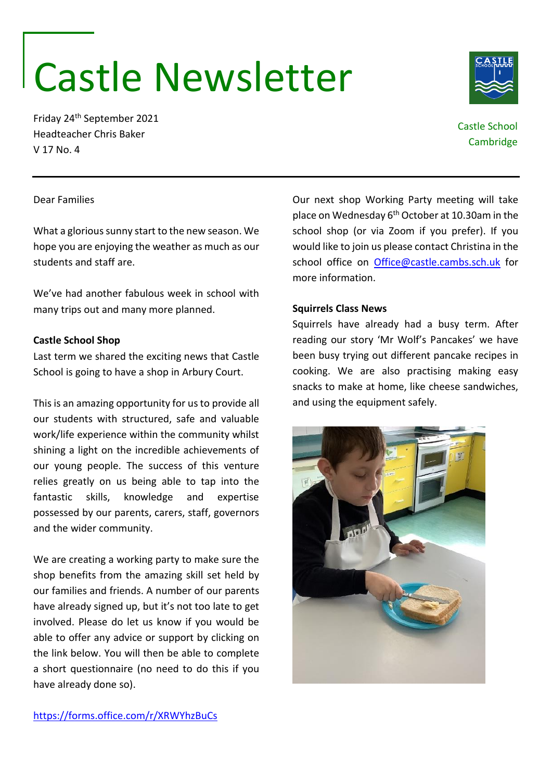# Castle Newsletter

Friday 24th September 2021 Headteacher Chris Baker V 17 No. 4

# Castle School **Cambridge**

### Dear Families

What a glorious sunny start to the new season. We hope you are enjoying the weather as much as our students and staff are.

We've had another fabulous week in school with many trips out and many more planned.

### **Castle School Shop**

Last term we shared the exciting news that Castle School is going to have a shop in Arbury Court.

This is an amazing opportunity for us to provide all our students with structured, safe and valuable work/life experience within the community whilst shining a light on the incredible achievements of our young people. The success of this venture relies greatly on us being able to tap into the fantastic skills, knowledge and expertise possessed by our parents, carers, staff, governors and the wider community.

We are creating a working party to make sure the shop benefits from the amazing skill set held by our families and friends. A number of our parents have already signed up, but it's not too late to get involved. Please do let us know if you would be able to offer any advice or support by clicking on the link below. You will then be able to complete a short questionnaire (no need to do this if you have already done so).

Our next shop Working Party meeting will take place on Wednesday  $6<sup>th</sup>$  October at 10.30am in the school shop (or via Zoom if you prefer). If you would like to join us please contact Christina in the school office on [Office@castle.cambs.sch.uk](mailto:Office@castle.cambs.sch.uk) for more information.

## **Squirrels Class News**

Squirrels have already had a busy term. After reading our story 'Mr Wolf's Pancakes' we have been busy trying out different pancake recipes in cooking. We are also practising making easy snacks to make at home, like cheese sandwiches, and using the equipment safely.